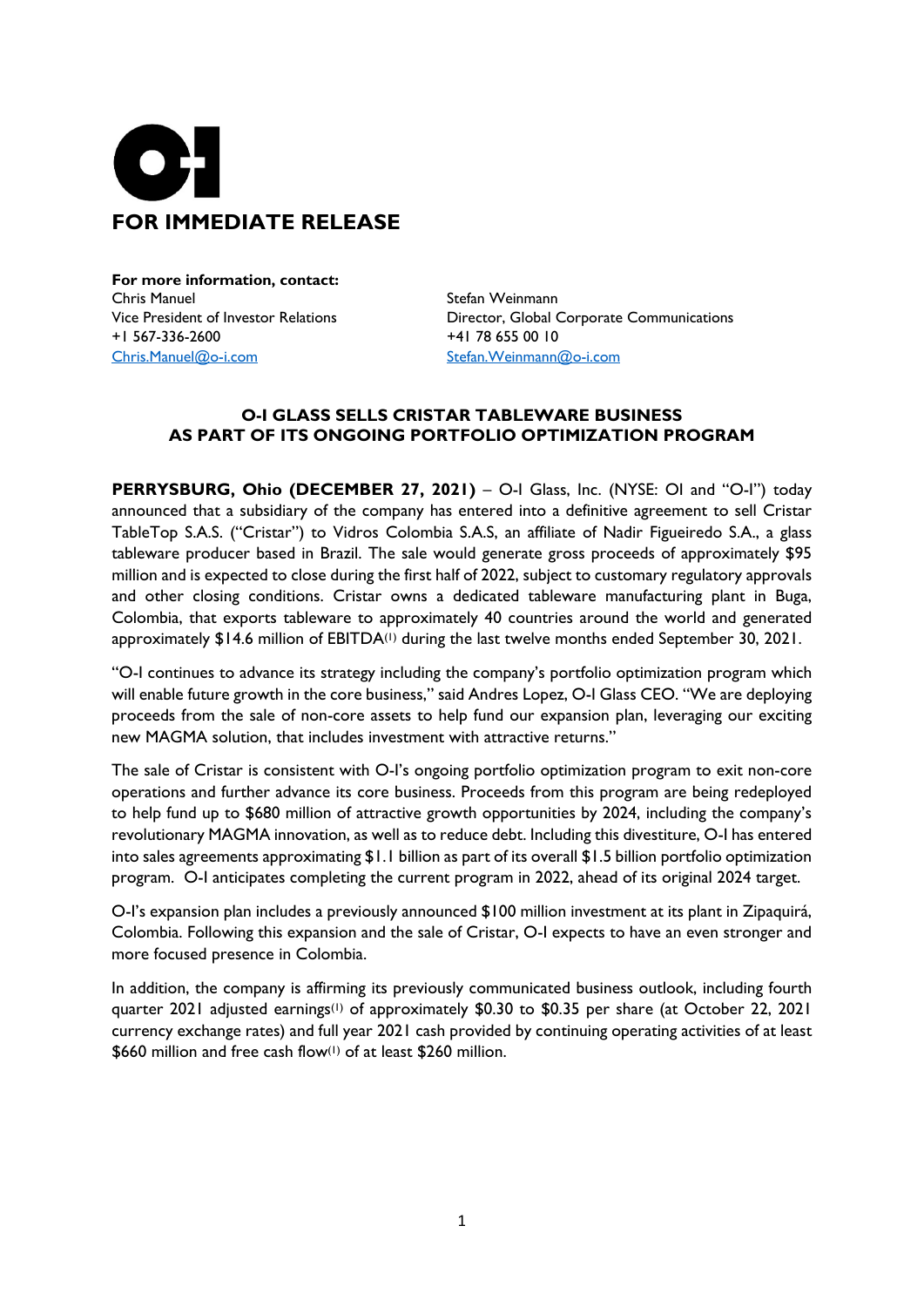

**For more information, contact:** Chris Manuel **Stefan Weinmann** +1 567-336-2600 +41 78 655 00 10 [Chris.Manuel@o-i.com](mailto:Chris.Manuel@o-i.com) [Stefan.Weinmann@o-i.com](mailto:Stefan.Weinmann@o-i.com)

Vice President of Investor Relations Director, Global Corporate Communications

## **O-I GLASS SELLS CRISTAR TABLEWARE BUSINESS AS PART OF ITS ONGOING PORTFOLIO OPTIMIZATION PROGRAM**

**PERRYSBURG, Ohio (DECEMBER 27, 2021)** – O-I Glass, Inc. (NYSE: OI and "O-I") today announced that a subsidiary of the company has entered into a definitive agreement to sell Cristar TableTop S.A.S. ("Cristar") to Vidros Colombia S.A.S, an affiliate of Nadir Figueiredo S.A., a glass tableware producer based in Brazil. The sale would generate gross proceeds of approximately \$95 million and is expected to close during the first half of 2022, subject to customary regulatory approvals and other closing conditions. Cristar owns a dedicated tableware manufacturing plant in Buga, Colombia, that exports tableware to approximately 40 countries around the world and generated approximately \$14.6 million of EBITDA<sup>(1)</sup> during the last twelve months ended September 30, 2021.

"O-I continues to advance its strategy including the company's portfolio optimization program which will enable future growth in the core business," said Andres Lopez, O-I Glass CEO. "We are deploying proceeds from the sale of non-core assets to help fund our expansion plan, leveraging our exciting new MAGMA solution, that includes investment with attractive returns."

The sale of Cristar is consistent with O-I's ongoing portfolio optimization program to exit non-core operations and further advance its core business. Proceeds from this program are being redeployed to help fund up to \$680 million of attractive growth opportunities by 2024, including the company's revolutionary MAGMA innovation, as well as to reduce debt. Including this divestiture, O-I has entered into sales agreements approximating \$1.1 billion as part of its overall \$1.5 billion portfolio optimization program. O-I anticipates completing the current program in 2022, ahead of its original 2024 target.

O-I's expansion plan includes a previously announced \$100 million investment at its plant in Zipaquirá, Colombia. Following this expansion and the sale of Cristar, O-I expects to have an even stronger and more focused presence in Colombia.

In addition, the company is affirming its previously communicated business outlook, including fourth quarter 2021 adjusted earnings<sup>(1)</sup> of approximately \$0.30 to \$0.35 per share (at October 22, 2021 currency exchange rates) and full year 2021 cash provided by continuing operating activities of at least \$660 million and free cash flow(1) of at least \$260 million.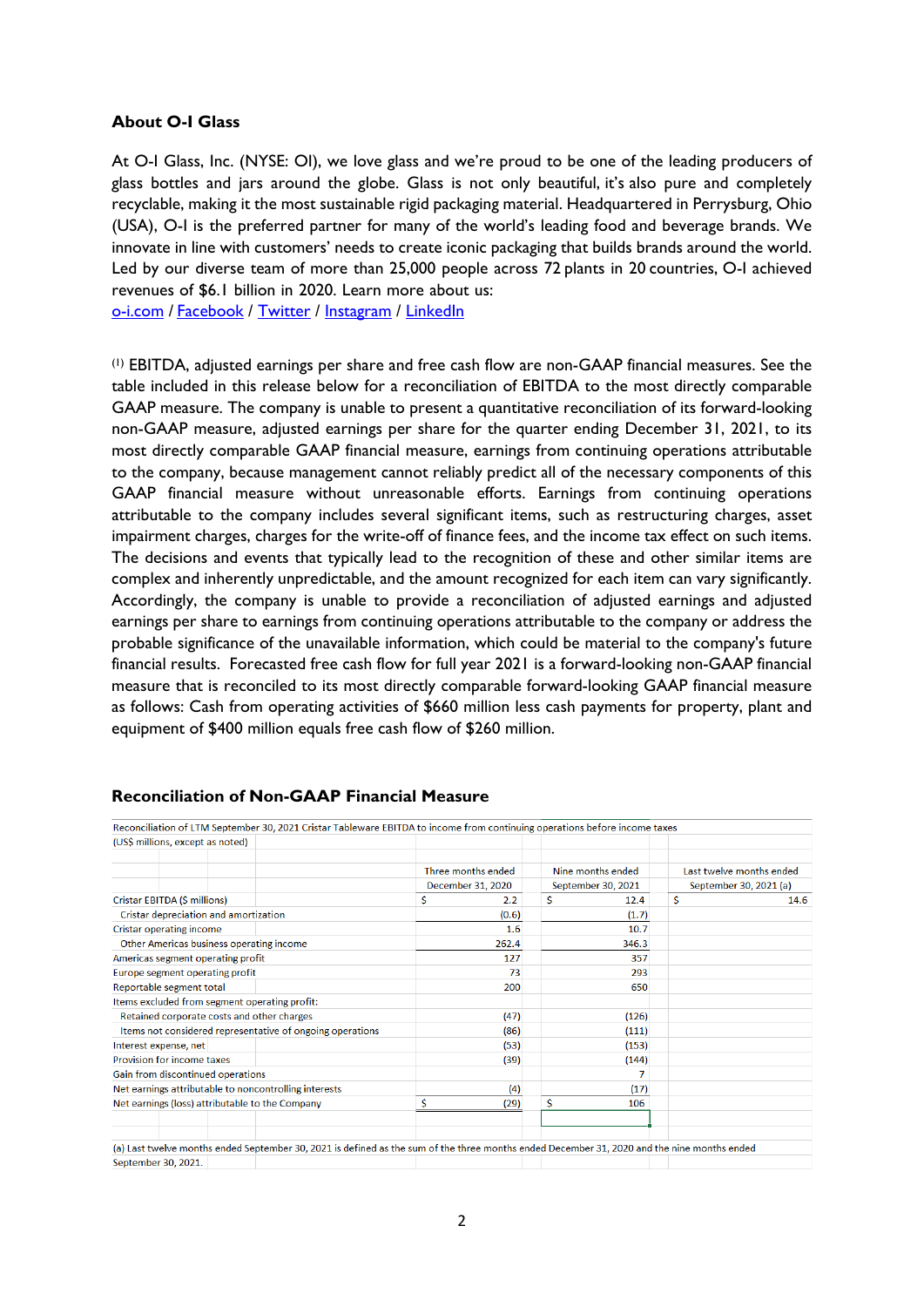## **About O-I Glass**

At O-I Glass, Inc. (NYSE: OI), we love glass and we're proud to be one of the leading producers of glass bottles and jars around the globe. Glass is not only beautiful, it's also pure and completely recyclable, making it the most sustainable rigid packaging material. Headquartered in Perrysburg, Ohio (USA), O-I is the preferred partner for many of the world's leading food and beverage brands. We innovate in line with customers' needs to create iconic packaging that builds brands around the world. Led by our diverse team of more than 25,000 people across 72 plants in 20 countries, O-I achieved revenues of \$6.1 billion in 2020. Learn more about us:

[o-i.com](https://www.o-i.com/) / [Facebook](https://www.facebook.com/OIGlass) / [Twitter](https://twitter.com/OI_Glass) / [Instagram](https://www.instagram.com/OI_Glass/) / [LinkedIn](https://www.linkedin.com/company/o-i)

(1) EBITDA, adjusted earnings per share and free cash flow are non-GAAP financial measures. See the table included in this release below for a reconciliation of EBITDA to the most directly comparable GAAP measure. The company is unable to present a quantitative reconciliation of its forward-looking non-GAAP measure, adjusted earnings per share for the quarter ending December 31, 2021, to its most directly comparable GAAP financial measure, earnings from continuing operations attributable to the company, because management cannot reliably predict all of the necessary components of this GAAP financial measure without unreasonable efforts. Earnings from continuing operations attributable to the company includes several significant items, such as restructuring charges, asset impairment charges, charges for the write-off of finance fees, and the income tax effect on such items. The decisions and events that typically lead to the recognition of these and other similar items are complex and inherently unpredictable, and the amount recognized for each item can vary significantly. Accordingly, the company is unable to provide a reconciliation of adjusted earnings and adjusted earnings per share to earnings from continuing operations attributable to the company or address the probable significance of the unavailable information, which could be material to the company's future financial results. Forecasted free cash flow for full year 2021 is a forward-looking non-GAAP financial measure that is reconciled to its most directly comparable forward-looking GAAP financial measure as follows: Cash from operating activities of \$660 million less cash payments for property, plant and equipment of \$400 million equals free cash flow of \$260 million.

| Reconciliation of LTM September 30, 2021 Cristar Tableware EBITDA to income from continuing operations before income taxes                  |                    |                    |                          |
|---------------------------------------------------------------------------------------------------------------------------------------------|--------------------|--------------------|--------------------------|
| (US\$ millions, except as noted)                                                                                                            |                    |                    |                          |
|                                                                                                                                             |                    |                    |                          |
|                                                                                                                                             | Three months ended | Nine months ended  | Last twelve months ended |
|                                                                                                                                             | December 31, 2020  | September 30, 2021 | September 30, 2021 (a)   |
| Cristar EBITDA (\$ millions)                                                                                                                | \$<br>2.2          | Ś<br>12.4          | \$<br>14.6               |
| Cristar depreciation and amortization                                                                                                       | (0.6)              | (1.7)              |                          |
| Cristar operating income                                                                                                                    | 1.6                | 10.7               |                          |
| Other Americas business operating income                                                                                                    | 262.4              | 346.3              |                          |
| Americas segment operating profit                                                                                                           | 127                | 357                |                          |
| Europe segment operating profit                                                                                                             | 73                 | 293                |                          |
| Reportable segment total                                                                                                                    | 200                | 650                |                          |
| Items excluded from segment operating profit:                                                                                               |                    |                    |                          |
| Retained corporate costs and other charges                                                                                                  | (47)               | (126)              |                          |
| Items not considered representative of ongoing operations                                                                                   | (86)               | (111)              |                          |
| Interest expense, net                                                                                                                       | (53)               | (153)              |                          |
| Provision for income taxes                                                                                                                  | (39)               | (144)              |                          |
| Gain from discontinued operations                                                                                                           |                    |                    |                          |
| Net earnings attributable to noncontrolling interests                                                                                       | (4)                | (17)               |                          |
| Net earnings (loss) attributable to the Company                                                                                             | \$<br>(29)         | \$<br>106          |                          |
|                                                                                                                                             |                    |                    |                          |
|                                                                                                                                             |                    |                    |                          |
| (a) Last twelve months ended September 30, 2021 is defined as the sum of the three months ended December 31, 2020 and the nine months ended |                    |                    |                          |
| September 30, 2021.                                                                                                                         |                    |                    |                          |

## **Reconciliation of Non-GAAP Financial Measure**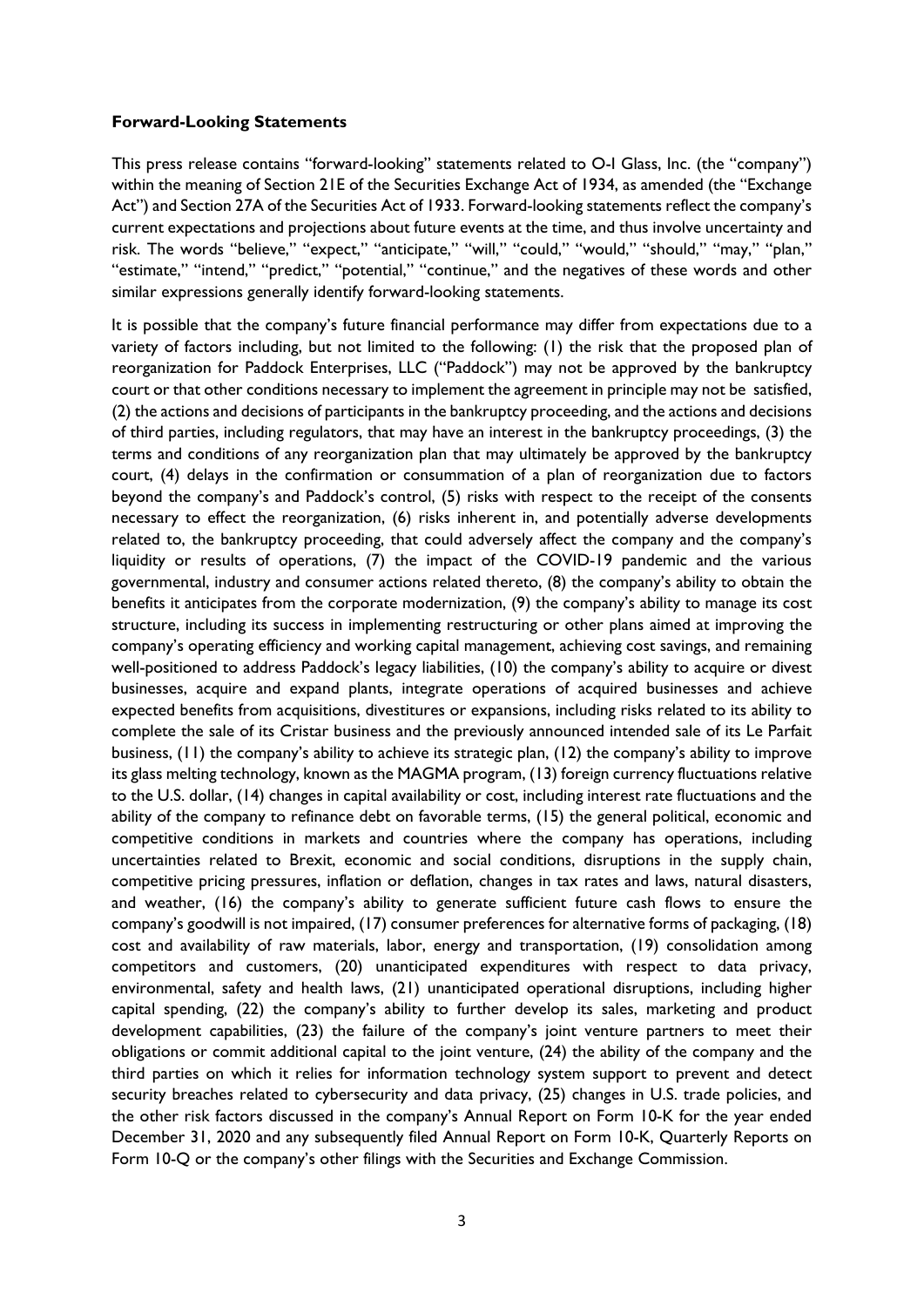## **Forward-Looking Statements**

This press release contains "forward-looking" statements related to O-I Glass, Inc. (the "company") within the meaning of Section 21E of the Securities Exchange Act of 1934, as amended (the "Exchange Act") and Section 27A of the Securities Act of 1933. Forward-looking statements reflect the company's current expectations and projections about future events at the time, and thus involve uncertainty and risk. The words "believe," "expect," "anticipate," "will," "could," "would," "should," "may," "plan," "estimate," "intend," "predict," "potential," "continue," and the negatives of these words and other similar expressions generally identify forward-looking statements.

It is possible that the company's future financial performance may differ from expectations due to a variety of factors including, but not limited to the following: (1) the risk that the proposed plan of reorganization for Paddock Enterprises, LLC ("Paddock") may not be approved by the bankruptcy court or that other conditions necessary to implement the agreement in principle may not be satisfied, (2) the actions and decisions of participants in the bankruptcy proceeding, and the actions and decisions of third parties, including regulators, that may have an interest in the bankruptcy proceedings, (3) the terms and conditions of any reorganization plan that may ultimately be approved by the bankruptcy court, (4) delays in the confirmation or consummation of a plan of reorganization due to factors beyond the company's and Paddock's control, (5) risks with respect to the receipt of the consents necessary to effect the reorganization, (6) risks inherent in, and potentially adverse developments related to, the bankruptcy proceeding, that could adversely affect the company and the company's liquidity or results of operations, (7) the impact of the COVID-19 pandemic and the various governmental, industry and consumer actions related thereto, (8) the company's ability to obtain the benefits it anticipates from the corporate modernization, (9) the company's ability to manage its cost structure, including its success in implementing restructuring or other plans aimed at improving the company's operating efficiency and working capital management, achieving cost savings, and remaining well-positioned to address Paddock's legacy liabilities, (10) the company's ability to acquire or divest businesses, acquire and expand plants, integrate operations of acquired businesses and achieve expected benefits from acquisitions, divestitures or expansions, including risks related to its ability to complete the sale of its Cristar business and the previously announced intended sale of its Le Parfait business, (11) the company's ability to achieve its strategic plan, (12) the company's ability to improve its glass melting technology, known as the MAGMA program, (13) foreign currency fluctuations relative to the U.S. dollar, (14) changes in capital availability or cost, including interest rate fluctuations and the ability of the company to refinance debt on favorable terms, (15) the general political, economic and competitive conditions in markets and countries where the company has operations, including uncertainties related to Brexit, economic and social conditions, disruptions in the supply chain, competitive pricing pressures, inflation or deflation, changes in tax rates and laws, natural disasters, and weather, (16) the company's ability to generate sufficient future cash flows to ensure the company's goodwill is not impaired, (17) consumer preferences for alternative forms of packaging, (18) cost and availability of raw materials, labor, energy and transportation, (19) consolidation among competitors and customers, (20) unanticipated expenditures with respect to data privacy, environmental, safety and health laws, (21) unanticipated operational disruptions, including higher capital spending, (22) the company's ability to further develop its sales, marketing and product development capabilities, (23) the failure of the company's joint venture partners to meet their obligations or commit additional capital to the joint venture, (24) the ability of the company and the third parties on which it relies for information technology system support to prevent and detect security breaches related to cybersecurity and data privacy, (25) changes in U.S. trade policies, and the other risk factors discussed in the company's Annual Report on Form 10-K for the year ended December 31, 2020 and any subsequently filed Annual Report on Form 10-K, Quarterly Reports on Form 10-Q or the company's other filings with the Securities and Exchange Commission.